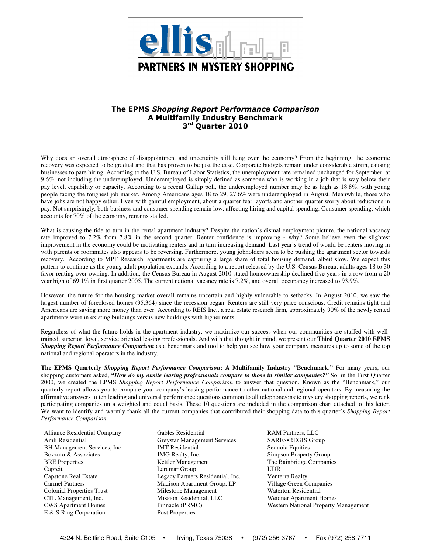

# The EPMS Shopping Report Performance Comparison A Multifamily Industry Benchmark 3<sup>rd</sup> Quarter 2010

Why does an overall atmosphere of disappointment and uncertainty still hang over the economy? From the beginning, the economic recovery was expected to be gradual and that has proven to be just the case. Corporate budgets remain under considerable strain, causing businesses to pare hiring. According to the U.S. Bureau of Labor Statistics, the unemployment rate remained unchanged for September, at 9.6%, not including the underemployed. Underemployed is simply defined as someone who is working in a job that is way below their pay level, capability or capacity. According to a recent Gallup poll, the underemployed number may be as high as 18.8%, with young people facing the toughest job market. Among Americans ages 18 to 29, 27.6% were underemployed in August. Meanwhile, those who have jobs are not happy either. Even with gainful employment, about a quarter fear layoffs and another quarter worry about reductions in pay. Not surprisingly, both business and consumer spending remain low, affecting hiring and capital spending. Consumer spending, which accounts for 70% of the economy, remains stalled.

What is causing the tide to turn in the rental apartment industry? Despite the nation's dismal employment picture, the national vacancy rate improved to 7.2% from 7.8% in the second quarter. Renter confidence is improving - why? Some believe even the slightest improvement in the economy could be motivating renters and in turn increasing demand. Last year's trend of would be renters moving in with parents or roommates also appears to be reversing. Furthermore, young jobholders seem to be pushing the apartment sector towards recovery. According to MPF Research, apartments are capturing a large share of total housing demand, albeit slow. We expect this pattern to continue as the young adult population expands. According to a report released by the U.S. Census Bureau, adults ages 18 to 30 favor renting over owning. In addition, the Census Bureau in August 2010 stated homeownership declined five years in a row from a 20 year high of 69.1% in first quarter 2005. The current national vacancy rate is 7.2%, and overall occupancy increased to 93.9%.

However, the future for the housing market overall remains uncertain and highly vulnerable to setbacks. In August 2010, we saw the largest number of foreclosed homes (95,364) since the recession began. Renters are still very price conscious. Credit remains tight and Americans are saving more money than ever. According to REIS Inc., a real estate research firm, approximately 90% of the newly rented apartments were in existing buildings versus new buildings with higher rents.

Regardless of what the future holds in the apartment industry, we maximize our success when our communities are staffed with welltrained, superior, loyal, service oriented leasing professionals. And with that thought in mind, we present our **Third Quarter 2010 EPMS**  *Shopping Report Performance Comparison* as a benchmark and tool to help you see how your company measures up to some of the top national and regional operators in the industry.

**The EPMS Quarterly** *Shopping Report Performance Comparison***: A Multifamily Industry "Benchmark."** For many years, our shopping customers asked, "How do my onsite leasing professionals compare to those in similar companies?" So, in the First Quarter 2000, we created the EPMS *Shopping Report Performance Comparison* to answer that question. Known as the "Benchmark," our quarterly report allows you to compare your company's leasing performance to other national and regional operators. By measuring the affirmative answers to ten leading and universal performance questions common to all telephone/onsite mystery shopping reports, we rank participating companies on a weighted and equal basis. These 10 questions are included in the comparison chart attached to this letter. We want to identify and warmly thank all the current companies that contributed their shopping data to this quarter's *Shopping Report Performance Comparison*.

- E & S Ring Corporation Post Properties
- Alliance Residential Company Gables Residential RAM Partners, LLC Amli Residential Greystar Management Services SARES•REGIS Group BH Management Services, Inc. **IMT Residential** Sequoia Equities Bozzuto & Associates **IMG Realty, Inc.** Simpson Property Group BRE Properties **SECONG REGISTER COMPANIES Kettler Management** The Bainbridge Companies Capreit Laramar Group UDR Capstone Real Estate Legacy Partners Residential, Inc. Venterra Realty Carmel Partners Madison Apartment Group, LP Village Green Companies Colonial Properties Trust Milestone Management Waterton Residential CTL Management, Inc. Mission Residential, LLC Weidner Apartment Homes
- CWS Apartment Homes Pinnacle (PRMC) Western National Property Management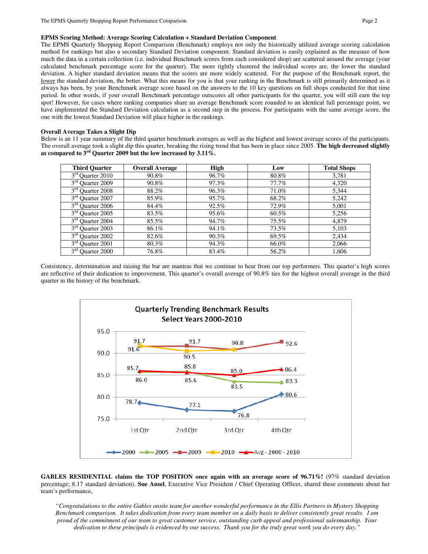The EPMS Quarterly Shopping Report Comparison (Benchmark) employs not only the historically utilized average scoring calculation method for rankings but also a secondary Standard Deviation component. Standard deviation is easily explained as the measure of how much the data in a certain collection (i.e. individual Benchmark scores from each considered shop) are scattered around the average (your calculated benchmark percentage score for the quarter). The more tightly clustered the individual scores are, the lower the standard deviation. A higher standard deviation means that the scores are more widely scattered. For the purpose of the Benchmark report, the lower the standard deviation, the better. What this means for you is that your ranking in the Benchmark is still primarily determined as it always has been, by your Benchmark average score based on the answers to the 10 key questions on full shops conducted for that time period. In other words, if your overall Benchmark percentage outscores all other participants for the quarter, you will still earn the top spot! However, for cases where ranking companies share an average Benchmark score rounded to an identical full percentage point, we have implemented the Standard Deviation calculation as a second step in the process. For participants with the same average score, the one with the lowest Standard Deviation will place higher in the rankings.

### **Overall Average Takes a Slight Dip**

Below is an 11 year summary of the third quarter benchmark averages as well as the highest and lowest average scores of the participants. The overall average took a slight dip this quarter, breaking the rising trend that has been in place since 2005. **The high decreased slightly as compared to 3rd Quarter 2009 but the low increased by 3.11%.**

| <b>Third Quarter</b>                   | <b>Overall Average</b> | High  | Low      | <b>Total Shops</b> |
|----------------------------------------|------------------------|-------|----------|--------------------|
| $3rd$ Quarter 2010                     | 90.8%                  | 96.7% | 80.8%    | 3,781              |
| 3 <sup>rd</sup> Quarter 2009           | 90.8%                  | 97.3% | 77.7%    | 4,320              |
| $3rd$ Quarter 2008                     | 88.2%                  | 96.3% | 71.0%    | 5,344              |
| 3 <sup>rd</sup> Quarter 2007           | 85.9%                  | 95.7% | 68.2%    | 5,242              |
| $3rd$ Quarter 2006                     | 84.4%                  | 92.5% | 72.9%    | 5,001              |
| 3 <sup>rd</sup> Quarter 2005           | 83.5%                  | 95.6% | $60.5\%$ | 5,256              |
| $3rd$ Quarter 2004                     | 85.5%                  | 94.7% | 75.5%    | 4,879              |
| 3 <sup>rd</sup> Quarter 2003           | 86.1%                  | 94.1% | 73.5%    | 5,103              |
| $3rd$ Quarter 2002                     | 82.6%                  | 90.3% | 69.5%    | 2,434              |
| $3rd$ Quarter 2001                     | 80.3%                  | 94.3% | 66.0%    | 2,066              |
| $3^{\text{rd}}$<br><b>Ouarter 2000</b> | 76.8%                  | 83.4% | 56.2%    | 1,606              |

Consistency, determination and raising the bar are mantras that we continue to hear from our top performers. This quarter's high scores are reflective of their dedication to improvement. This quarter's overall average of 90.8% ties for the highest overall average in the third quarter in the history of the benchmark.



**GABLES RESIDENTIAL claims the TOP POSITION once again with an average score of 96.71%!** (97% standard deviation percentage; 8.17 standard deviation). **Sue Ansel**, Executive Vice President / Chief Operating Officer, shared these comments about her team's performance,

*"Congratulations to the entire Gables onsite team for another wonderful performance in the Ellis Partners in Mystery Shopping Benchmark comparison. It takes dedication from every team member on a daily basis to deliver consistently great results. I am proud of the commitment of our team to great customer service, outstanding curb appeal and professional salesmanship. Your dedication to these principals is evidenced by our success. Thank you for the truly great work you do every day."*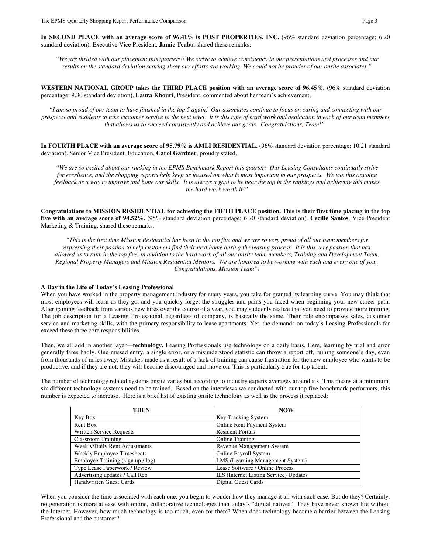In SECOND PLACE with an average score of 96.41% is POST PROPERTIES, INC. (96% standard deviation percentage; 6.20 standard deviation). Executive Vice President, **Jamie Teabo**, shared these remarks,

*"We are thrilled with our placement this quarter!!! We strive to achieve consistency in our presentations and processes and our results on the standard deviation scoring show our efforts are working. We could not be prouder of our onsite associates."* 

**WESTERN NATIONAL GROUP takes the THIRD PLACE position with an average score of 96.45%.** (96% standard deviation percentage; 9.30 standard deviation). **Laura Khouri**, President, commented about her team's achievement,

*"I am so proud of our team to have finished in the top 5 again! Our associates continue to focus on caring and connecting with our prospects and residents to take customer service to the next level. It is this type of hard work and dedication in each of our team members that allows us to succeed consistently and achieve our goals. Congratulations, Team!"* 

**In FOURTH PLACE with an average score of 95.79% is AMLI RESIDENTIAL.** (96% standard deviation percentage; 10.21 standard deviation). Senior Vice President, Education, **Carol Gardner**, proudly stated,

*"We are so excited about our ranking in the EPMS Benchmark Report this quarter! Our Leasing Consultants continually strive for excellence, and the shopping reports help keep us focused on what is most important to our prospects. We use this ongoing feedback as a way to improve and hone our skills. It is always a goal to be near the top in the rankings and achieving this makes the hard work worth it!"* 

**Congratulations to MISSION RESIDENTIAL for achieving the FIFTH PLACE position. This is their first time placing in the top five with an average score of 94.52%. (**95% standard deviation percentage; 6.70 standard deviation). **Cecille Santos**, Vice President Marketing & Training, shared these remarks,

*"This is the first time Mission Residential has been in the top five and we are so very proud of all our team members for expressing their passion to help customers find their next home during the leasing process. It is this very passion that has allowed us to rank in the top five, in addition to the hard work of all our onsite team members, Training and Development Team, Regional Property Managers and Mission Residential Mentors. We are honored to be working with each and every one of you. Congratulations, Mission Team"!* 

#### **A Day in the Life of Today's Leasing Professional**

When you have worked in the property management industry for many years, you take for granted its learning curve. You may think that most employees will learn as they go, and you quickly forget the struggles and pains you faced when beginning your new career path. After gaining feedback from various new hires over the course of a year, you may suddenly realize that you need to provide more training. The job description for a Leasing Professional, regardless of company, is basically the same. Their role encompasses sales, customer service and marketing skills, with the primary responsibility to lease apartments. Yet, the demands on today's Leasing Professionals far exceed these three core responsibilities.

Then, we all add in another layer—**technology.** Leasing Professionals use technology on a daily basis. Here, learning by trial and error generally fares badly. One missed entry, a single error, or a misunderstood statistic can throw a report off, ruining someone's day, even from thousands of miles away. Mistakes made as a result of a lack of training can cause frustration for the new employee who wants to be productive, and if they are not, they will become discouraged and move on. This is particularly true for top talent.

The number of technology related systems onsite varies but according to industry experts averages around six. This means at a minimum, six different technology systems need to be trained. Based on the interviews we conducted with our top five benchmark performers, this number is expected to increase. Here is a brief list of existing onsite technology as well as the process it replaced:

| <b>THEN</b>                       | <b>NOW</b>                             |  |  |  |  |  |
|-----------------------------------|----------------------------------------|--|--|--|--|--|
| Key Box                           | Key Tracking System                    |  |  |  |  |  |
| Rent Box                          | Online Rent Payment System             |  |  |  |  |  |
| Written Service Requests          | <b>Resident Portals</b>                |  |  |  |  |  |
| Classroom Training                | <b>Online Training</b>                 |  |  |  |  |  |
| Weekly/Daily Rent Adjustments     | Revenue Management System              |  |  |  |  |  |
| Weekly Employee Timesheets        | <b>Online Payroll System</b>           |  |  |  |  |  |
| Employee Training (sign up / log) | LMS (Learning Management System)       |  |  |  |  |  |
| Type Lease Paperwork / Review     | Lease Software / Online Process        |  |  |  |  |  |
| Advertising updates / Call Rep    | ILS (Internet Listing Service) Updates |  |  |  |  |  |
| <b>Handwritten Guest Cards</b>    | Digital Guest Cards                    |  |  |  |  |  |

When you consider the time associated with each one, you begin to wonder how they manage it all with such ease. But do they? Certainly, no generation is more at ease with online, collaborative technologies than today's "digital natives". They have never known life without the Internet. However, how much technology is too much, even for them? When does technology become a barrier between the Leasing Professional and the customer?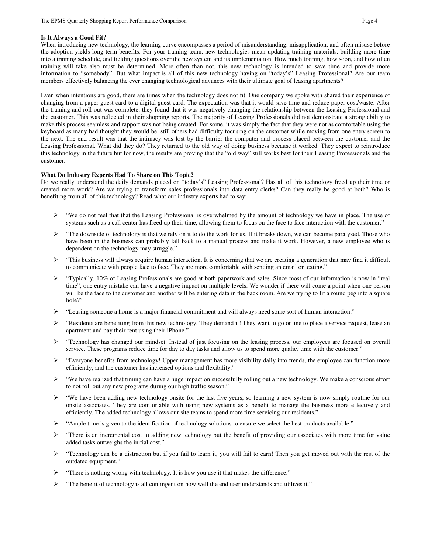### **Is It Always a Good Fit?**

When introducing new technology, the learning curve encompasses a period of misunderstanding, misapplication, and often misuse before the adoption yields long term benefits. For your training team, new technologies mean updating training materials, building more time into a training schedule, and fielding questions over the new system and its implementation. How much training, how soon, and how often training will take also must be determined. More often than not, this new technology is intended to save time and provide more information to "somebody". But what impact is all of this new technology having on "today's" Leasing Professional? Are our team members effectively balancing the ever changing technological advances with their ultimate goal of leasing apartments?

Even when intentions are good, there are times when the technology does not fit. One company we spoke with shared their experience of changing from a paper guest card to a digital guest card. The expectation was that it would save time and reduce paper cost/waste. After the training and roll-out was complete, they found that it was negatively changing the relationship between the Leasing Professional and the customer. This was reflected in their shopping reports. The majority of Leasing Professionals did not demonstrate a strong ability to make this process seamless and rapport was not being created. For some, it was simply the fact that they were not as comfortable using the keyboard as many had thought they would be, still others had difficulty focusing on the customer while moving from one entry screen to the next. The end result was that the intimacy was lost by the barrier the computer and process placed between the customer and the Leasing Professional. What did they do? They returned to the old way of doing business because it worked. They expect to reintroduce this technology in the future but for now, the results are proving that the "old way" still works best for their Leasing Professionals and the customer.

#### **What Do Industry Experts Had To Share on This Topic?**

Do we really understand the daily demands placed on "today's" Leasing Professional? Has all of this technology freed up their time or created more work? Are we trying to transform sales professionals into data entry clerks? Can they really be good at both? Who is benefiting from all of this technology? Read what our industry experts had to say:

- "We do not feel that that the Leasing Professional is overwhelmed by the amount of technology we have in place. The use of systems such as a call center has freed up their time, allowing them to focus on the face to face interaction with the customer."
- $\triangleright$  "The downside of technology is that we rely on it to do the work for us. If it breaks down, we can become paralyzed. Those who have been in the business can probably fall back to a manual process and make it work. However, a new employee who is dependent on the technology may struggle."
- $\triangleright$  "This business will always require human interaction. It is concerning that we are creating a generation that may find it difficult to communicate with people face to face. They are more comfortable with sending an email or texting."
- $\triangleright$  "Typically, 10% of Leasing Professionals are good at both paperwork and sales. Since most of our information is now in "real" time", one entry mistake can have a negative impact on multiple levels. We wonder if there will come a point when one person will be the face to the customer and another will be entering data in the back room. Are we trying to fit a round peg into a square hole?"
- Eeasing someone a home is a major financial commitment and will always need some sort of human interaction."
- \* "Residents are benefiting from this new technology. They demand it! They want to go online to place a service request, lease an apartment and pay their rent using their iPhone."
- Fechnology has changed our mindset. Instead of just focusing on the leasing process, our employees are focused on overall service. These programs reduce time for day to day tasks and allow us to spend more quality time with the customer."
- $\blacktriangleright$  "Everyone benefits from technology! Upper management has more visibility daily into trends, the employee can function more efficiently, and the customer has increased options and flexibility."
- $\triangleright$  "We have realized that timing can have a huge impact on successfully rolling out a new technology. We make a conscious effort to not roll out any new programs during our high traffic season."
- $\triangleright$  "We have been adding new technology onsite for the last five years, so learning a new system is now simply routine for our onsite associates. They are comfortable with using new systems as a benefit to manage the business more effectively and efficiently. The added technology allows our site teams to spend more time servicing our residents."
- "Ample time is given to the identification of technology solutions to ensure we select the best products available."
- There is an incremental cost to adding new technology but the benefit of providing our associates with more time for value added tasks outweighs the initial cost."
- Fechnology can be a distraction but if you fail to learn it, you will fail to earn! Then you get moved out with the rest of the outdated equipment."
- "There is nothing wrong with technology. It is how you use it that makes the difference."
- $\triangleright$  "The benefit of technology is all contingent on how well the end user understands and utilizes it."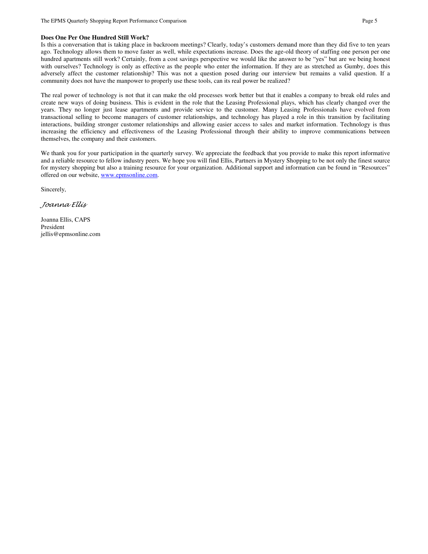## **Does One Per One Hundred Still Work?**

Is this a conversation that is taking place in backroom meetings? Clearly, today's customers demand more than they did five to ten years ago. Technology allows them to move faster as well, while expectations increase. Does the age-old theory of staffing one person per one hundred apartments still work? Certainly, from a cost savings perspective we would like the answer to be "yes" but are we being honest with ourselves? Technology is only as effective as the people who enter the information. If they are as stretched as Gumby, does this adversely affect the customer relationship? This was not a question posed during our interview but remains a valid question. If a community does not have the manpower to properly use these tools, can its real power be realized?

The real power of technology is not that it can make the old processes work better but that it enables a company to break old rules and create new ways of doing business. This is evident in the role that the Leasing Professional plays, which has clearly changed over the years. They no longer just lease apartments and provide service to the customer. Many Leasing Professionals have evolved from transactional selling to become managers of customer relationships, and technology has played a role in this transition by facilitating interactions, building stronger customer relationships and allowing easier access to sales and market information. Technology is thus increasing the efficiency and effectiveness of the Leasing Professional through their ability to improve communications between themselves, the company and their customers.

We thank you for your participation in the quarterly survey. We appreciate the feedback that you provide to make this report informative and a reliable resource to fellow industry peers. We hope you will find Ellis, Partners in Mystery Shopping to be not only the finest source for mystery shopping but also a training resource for your organization. Additional support and information can be found in "Resources" offered on our website, www.epmsonline.com.

Sincerely,

Joanna Ellis

Joanna Ellis, CAPS President jellis@epmsonline.com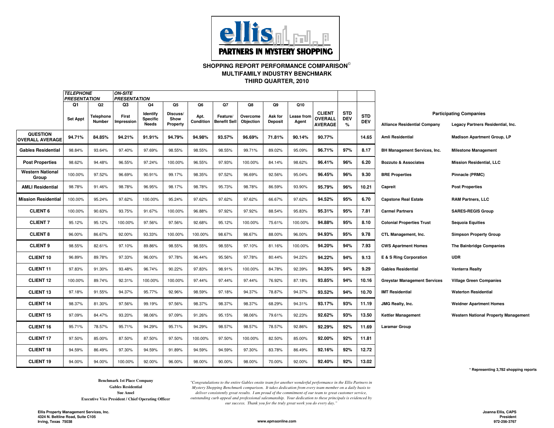

# **SHOPPING REPORT PERFORMANCE COMPARISON THIRD QUARTER, 2010MULTIFAMILY INDUSTRY BENCHMARK**

|                                           | <b>TELEPHONE</b><br><b>ON-SITE</b><br><b>PRESENTATION</b><br><b>PRESENTATION</b> |                                       |                           |                                                   |                                    |                         |                                       |                             |                                 |                            |                                                   |                               |                          |                                     |                                                                     |
|-------------------------------------------|----------------------------------------------------------------------------------|---------------------------------------|---------------------------|---------------------------------------------------|------------------------------------|-------------------------|---------------------------------------|-----------------------------|---------------------------------|----------------------------|---------------------------------------------------|-------------------------------|--------------------------|-------------------------------------|---------------------------------------------------------------------|
|                                           | Q1<br><b>Set Appt</b>                                                            | Q <sub>2</sub><br>Telephone<br>Number | Q3<br>First<br>Impression | Q4<br>Identify<br><b>Specific</b><br><b>Needs</b> | Q5<br>Discuss/<br>Show<br>Property | Q6<br>Apt.<br>Condition | Q7<br>Feature/<br><b>Benefit Sell</b> | Q8<br>Overcome<br>Objection | Q9<br>Ask for<br><b>Deposit</b> | Q10<br>Lease from<br>Agent | <b>CLIENT</b><br><b>OVERALL</b><br><b>AVERAGE</b> | <b>STD</b><br><b>DEV</b><br>% | <b>STD</b><br><b>DEV</b> | <b>Alliance Residential Company</b> | <b>Participating Companies</b><br>Legacy Partners Residential, Inc. |
| <b>QUESTION</b><br><b>OVERALL AVERAGE</b> | 94.71%                                                                           | 84.85%                                | 94.21%                    | 91.91%                                            | 94.79%                             | 94.98%                  | 93.57%                                | 96.69%                      | 71.81%                          | 90.14%                     | 90.77%                                            |                               | 14.65                    | <b>Amli Residential</b>             | <b>Madison Apartment Group, LP</b>                                  |
| <b>Gables Residential</b>                 | 98.84%                                                                           | 93.64%                                | 97.40%                    | 97.69%                                            | 98.55%                             | 98.55%                  | 98.55%                                | 99.71%                      | 89.02%                          | 95.09%                     | 96.71%                                            | 97%                           | 8.17                     | <b>BH Management Services, Inc.</b> | <b>Milestone Management</b>                                         |
| <b>Post Properties</b>                    | 98.62%                                                                           | 94.48%                                | 96.55%                    | 97.24%                                            | 100.00%                            | 96.55%                  | 97.93%                                | 100.00%                     | 84.14%                          | 98.62%                     | 96.41%                                            | 96%                           | 6.20                     | <b>Bozzuto &amp; Associates</b>     | <b>Mission Residential, LLC</b>                                     |
| <b>Western National</b><br>Group          | 100.00%                                                                          | 97.52%                                | 96.69%                    | 90.91%                                            | 99.17%                             | 98.35%                  | 97.52%                                | 96.69%                      | 92.56%                          | 95.04%                     | 96.45%                                            | 96%                           | 9.30                     | <b>BRE Properties</b>               | Pinnacle (PRMC)                                                     |
| <b>AMLI Residential</b>                   | 98.78%                                                                           | 91.46%                                | 98.78%                    | 96.95%                                            | 98.17%                             | 98.78%                  | 95.73%                                | 98.78%                      | 86.59%                          | 93.90%                     | 95.79%                                            | 96%                           | 10.21                    | Capreit                             | <b>Post Properties</b>                                              |
| <b>Mission Residential</b>                | 100.00%                                                                          | 95.24%                                | 97.62%                    | 100.00%                                           | 95.24%                             | 97.62%                  | 97.62%                                | 97.62%                      | 66.67%                          | 97.62%                     | 94.52%                                            | 95%                           | 6.70                     | <b>Capstone Real Estate</b>         | <b>RAM Partners, LLC</b>                                            |
| <b>CLIENT 6</b>                           | 100.00%                                                                          | 90.63%                                | 93.75%                    | 91.67%                                            | 100.00%                            | 96.88%                  | 97.92%                                | 97.92%                      | 88.54%                          | 95.83%                     | 95.31%                                            | 95%                           | 7.81                     | <b>Carmel Partners</b>              | <b>SARES-REGIS Group</b>                                            |
| <b>CLIENT 7</b>                           | 95.12%                                                                           | 95.12%                                | 100.00%                   | 97.56%                                            | 97.56%                             | 92.68%                  | 95.12%                                | 100.00%                     | 75.61%                          | 100.00%                    | 94.88%                                            | 95%                           | 8.10                     | <b>Colonial Properties Trust</b>    | <b>Sequoia Equities</b>                                             |
| <b>CLIENT 8</b>                           | 96.00%                                                                           | 86.67%                                | 92.00%                    | 93.33%                                            | 100.00%                            | 100.00%                 | 98.67%                                | 98.67%                      | 88.00%                          | 96.00%                     | 94.93%                                            | 95%                           | 9.78                     | CTL Management, Inc.                | <b>Simpson Property Group</b>                                       |
| <b>CLIENT 9</b>                           | 98.55%                                                                           | 82.61%                                | 97.10%                    | 89.86%                                            | 98.55%                             | 98.55%                  | 98.55%                                | 97.10%                      | 81.16%                          | 100.00%                    | 94.20%                                            | 94%                           | 7.93                     | <b>CWS Apartment Homes</b>          | The Bainbridge Companies                                            |
| <b>CLIENT 10</b>                          | 96.89%                                                                           | 89.78%                                | 97.33%                    | 96.00%                                            | 97.78%                             | 96.44%                  | 95.56%                                | 97.78%                      | 80.44%                          | 94.22%                     | 94.22%                                            | 94%                           | 9.13                     | E & S Ring Corporation              | <b>UDR</b>                                                          |
| <b>CLIENT 11</b>                          | 97.83%                                                                           | 91.30%                                | 93.48%                    | 96.74%                                            | 90.22%                             | 97.83%                  | 98.91%                                | 100.00%                     | 84.78%                          | 92.39%                     | 94.35%                                            | 94%                           | 9.29                     | <b>Gables Residential</b>           | <b>Venterra Realty</b>                                              |
| <b>CLIENT 12</b>                          | 100.00%                                                                          | 89.74%                                | 92.31%                    | 100.00%                                           | 100.00%                            | 97.44%                  | 97.44%                                | 97.44%                      | 76.92%                          | 87.18%                     | 93.85%                                            | 94%                           | 10.16                    | <b>Greystar Management Services</b> | <b>Village Green Companies</b>                                      |
| <b>CLIENT 13</b>                          | 97.18%                                                                           | 91.55%                                | 94.37%                    | 95.77%                                            | 92.96%                             | 98.59%                  | 97.18%                                | 94.37%                      | 78.87%                          | 94.37%                     | 93.52%                                            | 94%                           | 10.70                    | <b>IMT Residential</b>              | <b>Waterton Residential</b>                                         |
| <b>CLIENT 14</b>                          | 98.37%                                                                           | 81.30%                                | 97.56%                    | 99.19%                                            | 97.56%                             | 98.37%                  | 98.37%                                | 98.37%                      | 68.29%                          | 94.31%                     | 93.17%                                            | 93%                           | 11.19                    | JMG Realty, Inc.                    | <b>Weidner Apartment Homes</b>                                      |
| <b>CLIENT 15</b>                          | 97.09%                                                                           | 84.47%                                | 93.20%                    | 98.06%                                            | 97.09%                             | 91.26%                  | 95.15%                                | 98.06%                      | 79.61%                          | 92.23%                     | 92.62%                                            | 93%                           | 13.50                    | <b>Kettler Management</b>           | <b>Western National Property Management</b>                         |
| <b>CLIENT 16</b>                          | 95.71%                                                                           | 78.57%                                | 95.71%                    | 94.29%                                            | 95.71%                             | 94.29%                  | 98.57%                                | 98.57%                      | 78.57%                          | 92.86%                     | 92.29%                                            | 92%                           | 11.69                    | <b>Laramar Group</b>                |                                                                     |
| <b>CLIENT 17</b>                          | 97.50%                                                                           | 85.00%                                | 87.50%                    | 87.50%                                            | 97.50%                             | 100.00%                 | 97.50%                                | 100.00%                     | 82.50%                          | 85.00%                     | 92.00%                                            | 92%                           | 11.81                    |                                     |                                                                     |
| <b>CLIENT 18</b>                          | 94.59%                                                                           | 86.49%                                | 97.30%                    | 94.59%                                            | 91.89%                             | 94.59%                  | 94.59%                                | 97.30%                      | 83.78%                          | 86.49%                     | 92.16%                                            | 92%                           | 12.72                    |                                     |                                                                     |
| <b>CLIENT 19</b>                          | 94.00%                                                                           | 94.00%                                | 100.00%                   | 92.00%                                            | 96.00%                             | 98.00%                  | 90.00%                                | 98.00%                      | 70.00%                          | 92.00%                     | 92.40%                                            | 92%                           | 13.02                    |                                     |                                                                     |

**\* Representing 3,782 shopping reports**

**Benchmark 1st Place CompanyGables ResidentialSue Ansel**

**Executive Vice President / Chief Operating Officer**

*"Congratulations to the entire Gables onsite team for another wonderful performance in the Ellis Partners in Mystery Shopping Benchmark comparison. It takes dedication from every team member on a daily basis to deliver consistently great results. I am proud of the commitment of our team to great customer service, outstanding curb appeal and professional salesmanship. Your dedication to these principals is evidenced by our success. Thank you for the truly great work you do every day."*

**www.epmsonline.com**

**Joanna Ellis, CAPS President972-256-3767**